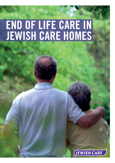# END OF LIFE CARE IN<br>JEWISH CARE HOMES

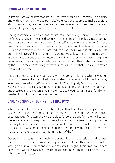# **LIVING WELL UNTIL THE END**

In Jewish Care we believe that life in its entirety, should be lived well, with dignity and with as much comfort as possible. We encourage people to make decisions about the way they live their lives, and how and where they would like to be cared for when they are very ill and nearing the end of their life.

Having conversations about end of life care, expressing personal wishes and preferences and planning ahead can give residents and their family a sense of control and helps those providing care. Jewish Care's staff together with the homes' GPs have an important role in assisting those living in our homes and their families to engage in such conversations, when they are ready to do so. The GP will also inform residents and their relatives of different options regarding available care and treatment as well as the right to 'opt out' of certain interventions. If no legal documentation is in place, decision about care for a person who is not able to express their wishes will be made by the GP and the care team together with relatives in a way that is believed to match the person's wishes.

It is best to document such decisions when in good health and whist having full capacity. These can be in a will, advanced wishes document or a 'living will'. You may want to appoint a Lasting Power of Attorney (LPA) for Property & Affairs and or Health & Welfare. An LPA is a legally binding document and provides peace of mind to you and those you have chosen enabling them to act in your best interests if and when needed, but only when you have lost mental capacity.

# **CARE AND SUPPORT DURING THE FINAL DAYS**

When a resident nears the end of their life, staff will aim to follow any advanced wishes that have been documented as much as is possible under the given circumstances. If the staff or GP are unable to follow the plans fully, they will consult the resident or family, keep them informed and explain the reasons for any changes that may be necessary. When someone's condition worsens we will aim to contact the next of kin as soon as possible to enable them to be with their loved one. We would rely on the next of kin to inform the rest of the family.

Our staff will try to spend as much time as possible with the resident and support them and their family in a way that is appropriate to them. There are no restricted visiting times in our homes and relatives can stay throughout this time. If a resident expressed a wish to have a Rabbi or a particular community member called we would follow these wishes too.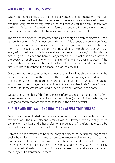## **WHEN A RESIDENT PASSES AWAY**

When a resident passes away in one of our homes, a senior member of staff will contact the next of kin (if they are not already there) and in accordance with Jewish tradition family members may watch over their relative until the body is taken from the home if they wish. Alternatively, the family can arrange for someone from one of the burial societies to stay with them and we will support them to do this.

The resident's doctor will be informed and asked to sign a death certificate as soon as possible. Jewish Care's agreement with homes' GPs expects the death certificate to be provided within six hours after a death occurring during the day, and the next morning if the death occurred in the evening or during the night. Our doctors make every effort to adhere to this, however there may be circumstances, including deaths occurring on weekends and bank holidays when the GP practice is closed or when the doctor is not able to attend within this timeframe and delays may occur. If the resident dies in hospital, the hospital doctors will sign the death certificate and the family will need to contact the hospital in order to obtain it.

Once the death certificate has been signed, the family will be able to arrange for the body to be removed from the home by the undertakers and register the death with the Registrar. This will be required in order to arrange for the funeral. The funeral would need to be arranged by the family with the appropriate Burial Society. Contact numbers for these can be provided by senior members of staff in the home.

We ask that a member of the family please inform a senior member of staff of the funeral arrangements. If the family wishes to sit Shiva (or part of it) in the home, we will try and accommodate this as far as space in the home permits.

### **BURIALS AND THE LAW – AND HOW IT CAN AFFECT YOUR WISHES**

Staff in our homes do their utmost to enable burial according to Jewish laws and traditions and the resident's and families' wishes. However, we are obligated to comply with UK laws and other professional regulations. Therefore there could be circumstances where this may not be entirely possible.

Homes are not permitted to hold the body of a deceased person for longer than twelve hours (less in very hot weather), unless in a mortuary. None of our homes have mortuaries and therefore non-Jewish undertakers may need to be called if Jewish undertakers are not available, such as on Shabbat and over the Chagim. This is likely to incur an additional cost to the family. Once the Jewish undertakers are open again the body can be transferred to them.